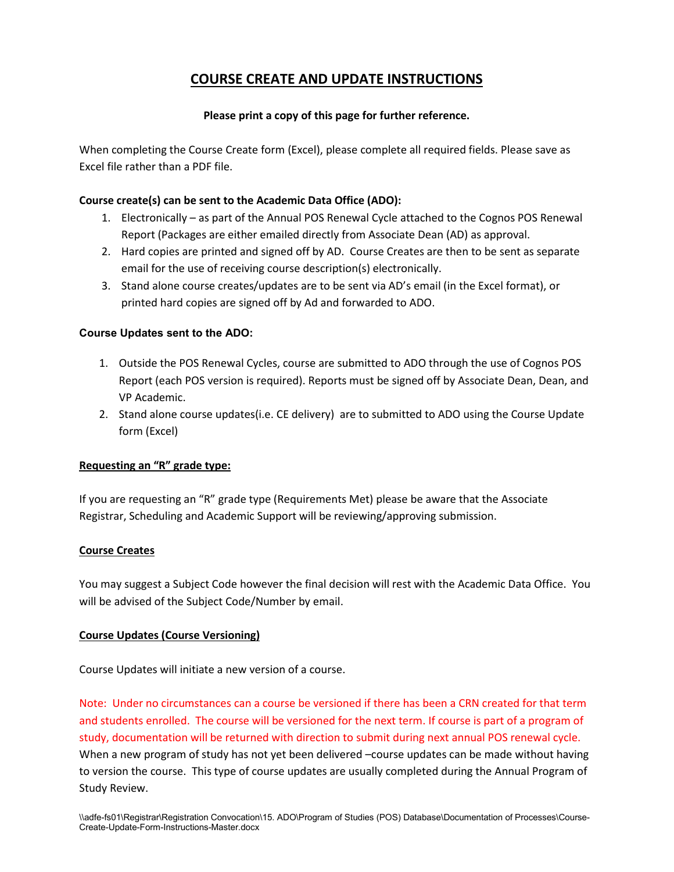# **COURSE CREATE AND UPDATE INSTRUCTIONS**

## **Please print a copy of this page for further reference.**

When completing the Course Create form (Excel), please complete all required fields. Please save as Excel file rather than a PDF file.

#### **Course create(s) can be sent to the Academic Data Office (ADO):**

- 1. Electronically as part of the Annual POS Renewal Cycle attached to the Cognos POS Renewal Report (Packages are either emailed directly from Associate Dean (AD) as approval.
- 2. Hard copies are printed and signed off by AD. Course Creates are then to be sent as separate email for the use of receiving course description(s) electronically.
- 3. Stand alone course creates/updates are to be sent via AD's email (in the Excel format), or printed hard copies are signed off by Ad and forwarded to ADO.

### **Course Updates sent to the ADO:**

- 1. Outside the POS Renewal Cycles, course are submitted to ADO through the use of Cognos POS Report (each POS version is required). Reports must be signed off by Associate Dean, Dean, and VP Academic.
- 2. Stand alone course updates(i.e. CE delivery) are to submitted to ADO using the Course Update form (Excel)

#### **Requesting an "R" grade type:**

If you are requesting an "R" grade type (Requirements Met) please be aware that the Associate Registrar, Scheduling and Academic Support will be reviewing/approving submission.

#### **Course Creates**

You may suggest a Subject Code however the final decision will rest with the Academic Data Office. You will be advised of the Subject Code/Number by email.

## **Course Updates (Course Versioning)**

Course Updates will initiate a new version of a course.

Note: Under no circumstances can a course be versioned if there has been a CRN created for that term and students enrolled. The course will be versioned for the next term. If course is part of a program of study, documentation will be returned with direction to submit during next annual POS renewal cycle. When a new program of study has not yet been delivered –course updates can be made without having to version the course. This type of course updates are usually completed during the Annual Program of Study Review.